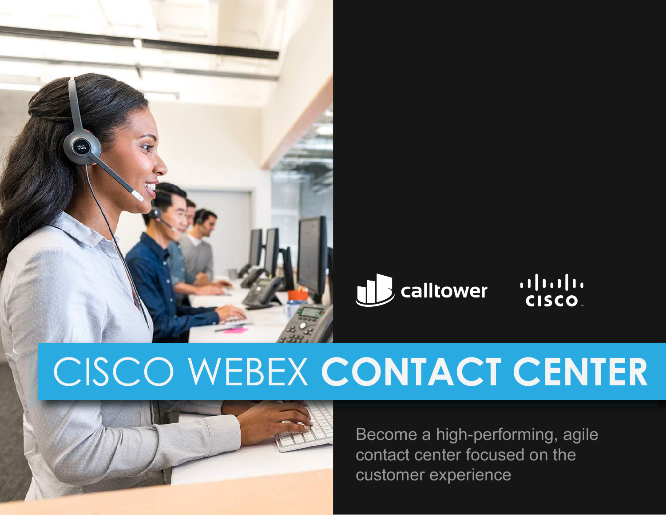



# CISCO WEBEX **CONTACT CENTER**



Become a high-performing, agile contact center focused on the customer experience

alulu<br>CISCO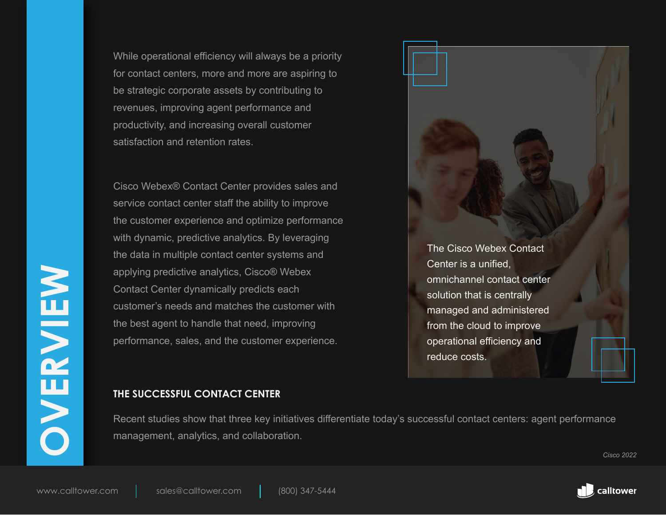While operational efficiency will always be a priority for contact centers, more and more are aspiring to be strategic corporate assets by contributing to revenues, improving agent performance and productivity, and increasing overall customer satisfaction and retention rates.

applying predictive analytics, Cisco® Webex<br>
Contact Center dynamically predicts each<br>
customer's needs and matches the customer with<br>
the best agent to handle that need, improving<br>
performance, sales, and the customer exp Cisco Webex® Contact Center provides sales and service contact center staff the ability to improve the customer experience and optimize performance with dynamic, predictive analytics. By leveraging the data in multiple contact center systems and applying predictive analytics, Cisco® Webex Contact Center dynamically predicts each customer's needs and matches the customer with the best agent to handle that need, improving performance, sales, and the customer experience.



# **THE SUCCESSFUL CONTACT CENTER**

Recent studies show that three key initiatives differentiate today's successful contact centers: agent performance management, analytics, and collaboration.

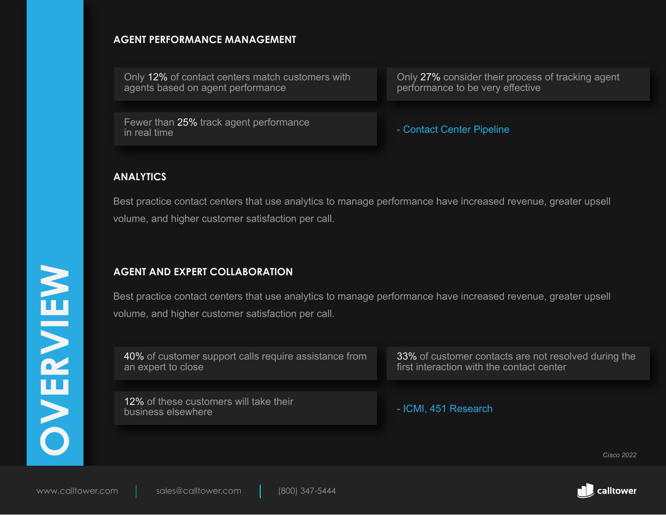# **AGENT PERFORMANCE MANAGEMENT**

Only 12% of contact centers match customers with agents based on agent performance

Fewer than 25% track agent performance<br>in real time

Only 27% consider their process of tracking agent performance to be very effective

- Contact Center Pipeline

# **ANALYTICS**

Best practice contact centers that use analytics to manage performance have increased revenue, greater upsell volume, and higher customer satisfaction per call.

# **AGENT AND EXPERT COLLABORATION**

|                   | <b>AGENT AND EXPERT COLLABORATION</b>                                                                         |                                                                                                   |  |
|-------------------|---------------------------------------------------------------------------------------------------------------|---------------------------------------------------------------------------------------------------|--|
|                   | Best practice contact centers that use analytics to manage performance have increased revenue, greater upsell |                                                                                                   |  |
|                   | volume, and higher customer satisfaction per call.                                                            |                                                                                                   |  |
|                   |                                                                                                               |                                                                                                   |  |
| <b>NEINE</b>      | 40% of customer support calls require assistance from<br>an expert to close                                   | 33% of customer contacts are not resolved during the<br>first interaction with the contact center |  |
| $\mathbf{H}$      |                                                                                                               |                                                                                                   |  |
| N                 | 12% of these customers will take their<br>business elsewhere                                                  | - ICMI, 451 Research                                                                              |  |
|                   |                                                                                                               |                                                                                                   |  |
|                   |                                                                                                               | <b>Cisco 2022</b>                                                                                 |  |
| www.calltower.com | sales@calltower.com<br>(800) 347-5444                                                                         | <b>z</b> calltower                                                                                |  |

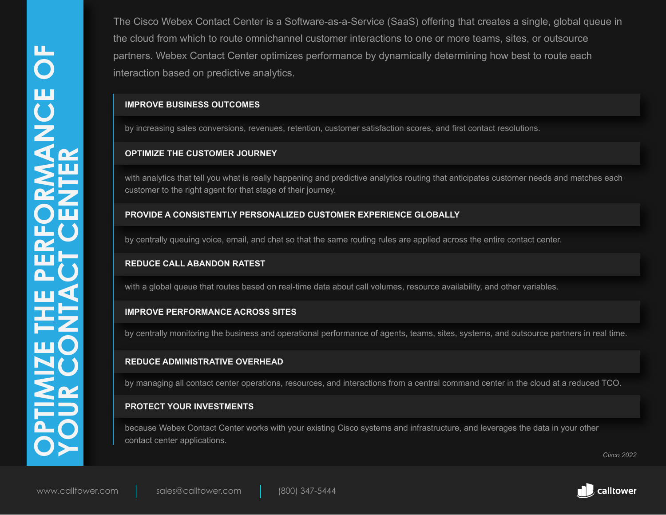The Cisco Webex Contact Center is a Software-as-a-Service (SaaS) offering that creates a single, global queue in the cloud from which to route omnichannel customer interactions to one or more teams, sites, or outsource partners. Webex Contact Center optimizes performance by dynamically determining how best to route each interaction based on predictive analytics.

## **IMPROVE BUSINESS OUTCOMES**

by increasing sales conversions, revenues, retention, customer satisfaction scores, and first contact resolutions.

## **OPTIMIZE THE CUSTOMER JOURNEY**

with analytics that tell you what is really happening and predictive analytics routing that anticipates customer needs and matches each customer to the right agent for that stage of their journey.

## **PROVIDE A CONSISTENTLY PERSONALIZED CUSTOMER EXPERIENCE GLOBALLY**

by centrally queuing voice, email, and chat so that the same routing rules are applied across the entire contact center.

### **REDUCE CALL ABANDON RATEST**

with a global queue that routes based on real-time data about call volumes, resource availability, and other variables.

## **IMPROVE PERFORMANCE ACROSS SITES**

by centrally monitoring the business and operational performance of agents, teams, sites, systems, and outsource partners in real time.

## **REDUCE ADMINISTRATIVE OVERHEAD**

by managing all contact center operations, resources, and interactions from a central command center in the cloud at a reduced TCO.

# **PROTECT YOUR INVESTMENTS**

because Webex Contact Center works with your existing Cisco systems and infrastructure, and leverages the data in your other contact center applications.

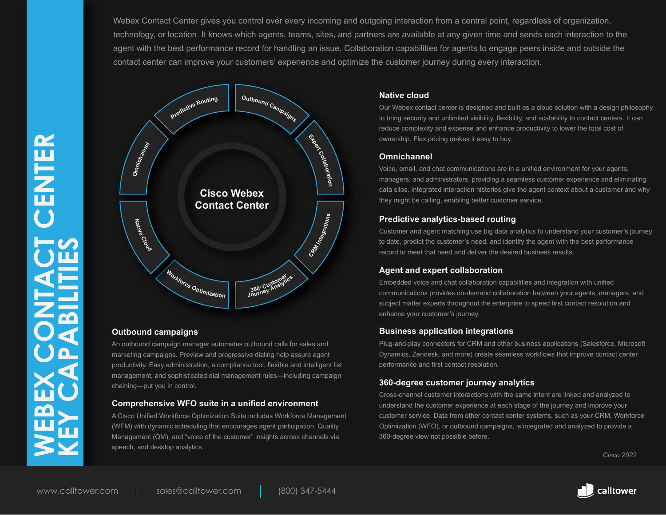Webex Contact Center gives you control over every incoming and outgoing interaction from a central point, regardless of organization, technology, or location. It knows which agents, teams, sites, and partners are available at any given time and sends each interaction to the agent with the best performance record for handling an issue. Collaboration capabilities for agents to engage peers inside and outside the contact center can improve your customers' experience and optimize the customer journey during every interaction.



#### **Outbound campaigns**

An outbound campaign manager automates outbound calls for sales and marketing campaigns. Preview and progressive dialing help assure agent productivity. Easy administration, a compliance tool, flexible and intelligent list management, and sophisticated dial management rules—including campaign chaining—put you in control.

#### **Comprehensive WFO suite in a unified environment**

A Cisco Unified Workforce Optimization Suite includes Workforce Management (WFM) with dynamic scheduling that encourages agent participation, Quality Management (QM), and "voice of the customer" insights across channels via speech, and desktop analytics.

#### **Native cloud**

Our Webex contact center is designed and built as a cloud solution with a design philosophy to bring security and unlimited visibility, flexibility, and scalability to contact centers. It can reduce complexity and expense and enhance productivity to lower the total cost of ownership. Flex pricing makes it easy to buy.

#### **Omnichannel**

Voice, email, and chat communications are in a unified environment for your agents, managers, and administrators, providing a seamless customer experience and eliminating data silos. Integrated interaction histories give the agent context about a customer and why they might be calling, enabling better customer service.

#### **Predictive analytics-based routing**

Customer and agent matching use big data analytics to understand your customer's journey to date, predict the customer's need, and identify the agent with the best performance record to meet that need and deliver the desired business results.

### **Agent and expert collaboration**

Embedded voice and chat collaboration capabilities and integration with unified communications provides on-demand collaboration between your agents, managers, and subject matter experts throughout the enterprise to speed first contact resolution and enhance your customer's journey.

#### **Business application integrations**

Plug-and-play connectors for CRM and other business applications (Salesforce, Microsoft Dynamics, Zendesk, and more) create seamless workflows that improve contact center performance and first contact resolution.

#### **360-degree customer journey analytics**

Cross-channel customer interactions with the same intent are linked and analyzed to understand the customer experience at each stage of the journey and improve your customer service. Data from other contact center systems, such as your CRM, Workforce Optimization (WFO), or outbound campaigns, is integrated and analyzed to provide a 360-degree view not possible before.

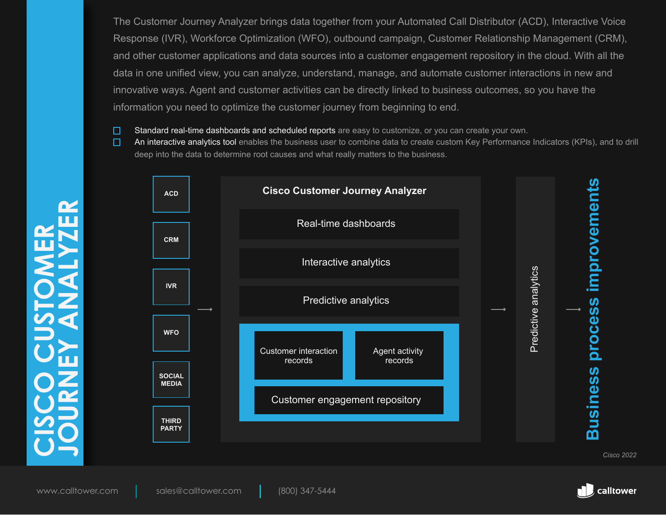The Customer Journey Analyzer brings data together from your Automated Call Distributor (ACD), Interactive Voice Response (IVR), Workforce Optimization (WFO), outbound campaign, Customer Relationship Management (CRM), and other customer applications and data sources into a customer engagement repository in the cloud. With all the data in one unified view, you can analyze, understand, manage, and automate customer interactions in new and innovative ways. Agent and customer activities can be directly linked to business outcomes, so you have the information you need to optimize the customer journey from beginning to end.

- □ Standard real-time dashboards and scheduled reports are easy to customize, or you can create your own.
- $\Box$ An interactive analytics tool enables the business user to combine data to create custom Key Performance Indicators (KPIs), and to drill deep into the data to determine root causes and what really matters to the business.



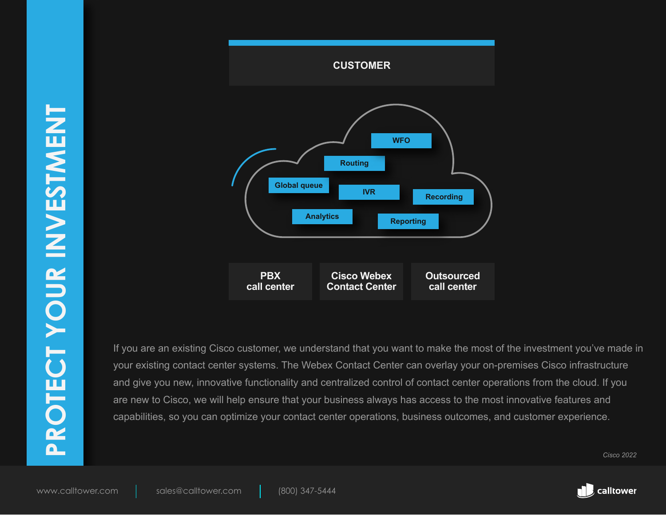

If you are an existing Cisco customer, we understand that you want to make the most of the investment you've made in your existing contact center systems. The Webex Contact Center can overlay your on-premises Cisco infrastructure and give you new, innovative functionality and centralized control of contact center operations from the cloud. If you are new to Cisco, we will help ensure that your business always has access to the most innovative features and capabilities, so you can optimize your contact center operations, business outcomes, and customer experience.